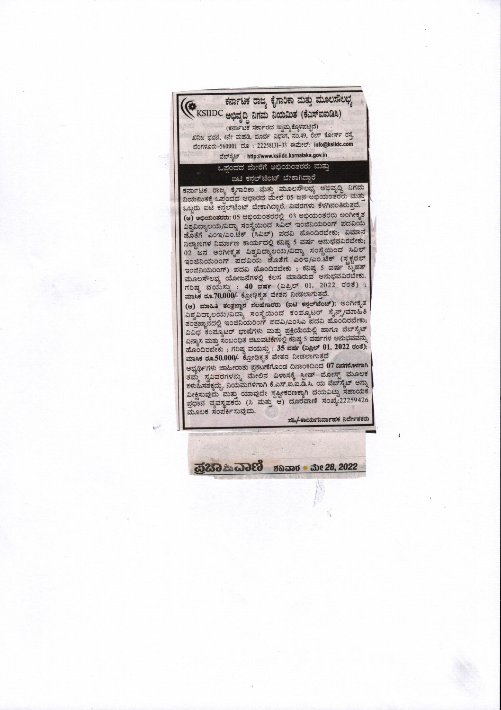

ಶನಿವಾರ ಮೇ 28, 2022

63662 金685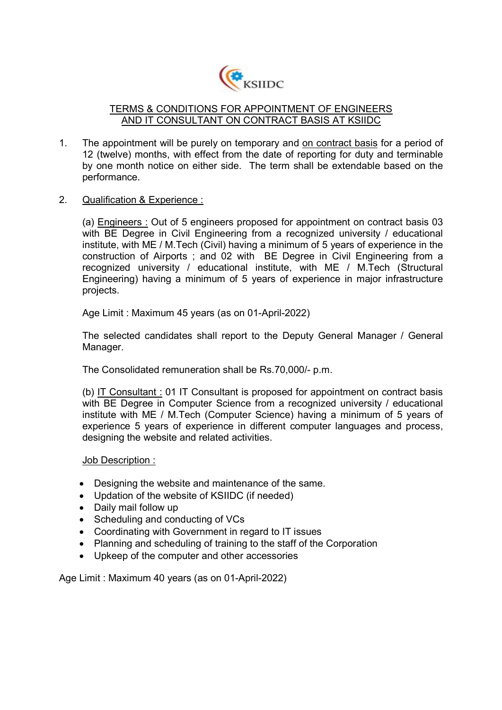

## TERMS & CONDITIONS FOR APPOINTMENT OF ENGINEERS AND IT CONSULTANT ON CONTRACT BASIS AT KSIIDC

- 1. The appointment will be purely on temporary and on contract basis for a period of 12 (twelve) months, with effect from the date of reporting for duty and terminable by one month notice on either side. The term shall be extendable based on the performance.
- 2. Qualification & Experience :

(a) Engineers : Out of 5 engineers proposed for appointment on contract basis 03 with BE Degree in Civil Engineering from a recognized university / educational institute, with ME / M.Tech (Civil) having a minimum of 5 years of experience in the construction of Airports ; and 02 with BE Degree in Civil Engineering from a recognized university / educational institute, with ME / M.Tech (Structural Engineering) having a minimum of 5 years of experience in major infrastructure projects.

Age Limit : Maximum 45 years (as on 01-April-2022)

The selected candidates shall report to the Deputy General Manager / General Manager.

The Consolidated remuneration shall be Rs.70,000/- p.m.

(b) IT Consultant : 01 IT Consultant is proposed for appointment on contract basis with BE Degree in Computer Science from a recognized university / educational institute with ME / M.Tech (Computer Science) having a minimum of 5 years of experience 5 years of experience in different computer languages and process, designing the website and related activities.

Job Description :

- Designing the website and maintenance of the same.
- Updation of the website of KSIIDC (if needed)
- Daily mail follow up
- Scheduling and conducting of VCs
- Coordinating with Government in regard to IT issues
- Planning and scheduling of training to the staff of the Corporation
- Upkeep of the computer and other accessories

Age Limit : Maximum 40 years (as on 01-April-2022)